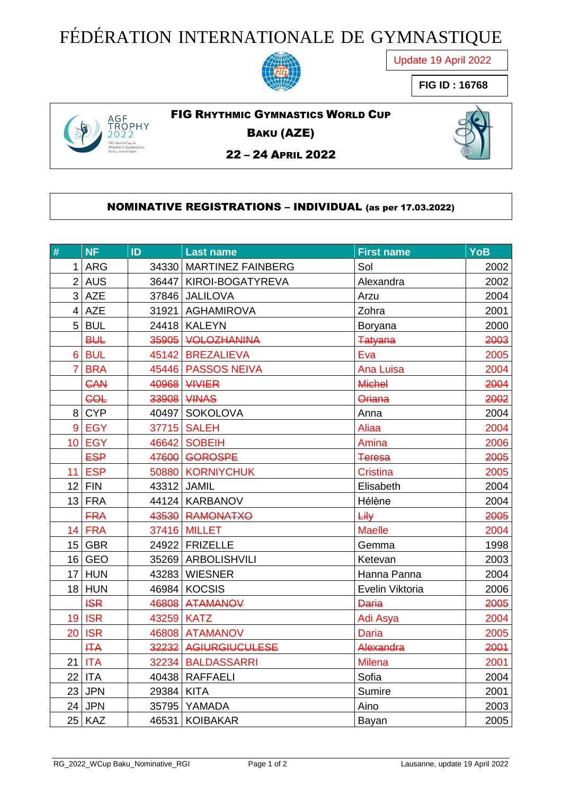## FÉDÉRATION INTERNATIONALE DE GYMNASTIQUE



Update 19 April 2022

**FIG ID : 16768**



FIG RHYTHMIC GYMNASTICS WORLD CUP

BAKU (AZE)



– 24 APRIL 2022

#### NOMINATIVE REGISTRATIONS – INDIVIDUAL (as per 17.03.2022)

| $\#$           | NF            | ID         | <b>Last name</b>        | <b>First name</b> | <b>YoB</b> |
|----------------|---------------|------------|-------------------------|-------------------|------------|
| 1              | <b>ARG</b>    |            | 34330 MARTINEZ FAINBERG | Sol               | 2002       |
|                | 2 AUS         |            | 36447 KIROI-BOGATYREVA  | Alexandra         | 2002       |
|                | $3$ AZE       |            | 37846 JALILOVA          | Arzu              | 2004       |
| $\overline{4}$ | <b>AZE</b>    |            | 31921   AGHAMIROVA      | Zohra             | 2001       |
|                | $5$ BUL       |            | 24418 KALEYN            | <b>Boryana</b>    | 2000       |
|                | <b>BUL</b>    |            | 35905 VOLOZHANINA       | <b>Tatyana</b>    | 2003       |
|                | 6 BUL         |            | 45142 BREZALIEVA        | Eva               | 2005       |
| $\overline{7}$ | <b>BRA</b>    |            | 45446 PASSOS NEIVA      | <b>Ana Luisa</b>  | 2004       |
|                | <b>CAN</b>    |            | <b>40968 WWIER</b>      | <b>Michel</b>     | 2004       |
|                | <b>COL</b>    |            | 33908 VINAS             | <b>Oriana</b>     | 2002       |
| 8 <sup>1</sup> | <b>CYP</b>    |            | 40497 SOKOLOVA          | Anna              | 2004       |
| 9 <sup>°</sup> | <b>EGY</b>    |            | 37715 SALEH             | <b>Aliaa</b>      | 2004       |
|                | <b>10 EGY</b> |            | 46642 SOBEIH            | Amina             | 2006       |
|                | <b>ESP</b>    |            | 47600 GOROSPE           | <b>Teresa</b>     | 2005       |
|                | <b>11 ESP</b> |            | 50880 KORNIYCHUK        | <b>Cristina</b>   | 2005       |
|                | $12$ FIN      |            | 43312 JAMIL             | Elisabeth         | 2004       |
|                | $13$ FRA      |            | 44124 KARBANOV          | Hélène            | 2004       |
|                | <b>FRA</b>    |            | 43530 RAMONATXO         | <b>Lily</b>       | 2005       |
|                | 14 FRA        |            | 37416 MILLET            | <b>Maelle</b>     | 2004       |
|                | $15$ GBR      |            | 24922 FRIZELLE          | Gemma             | 1998       |
|                | $16$ GEO      |            | 35269 ARBOLISHVILI      | Ketevan           | 2003       |
|                | $17$ HUN      |            | 43283 WIESNER           | Hanna Panna       | 2004       |
|                | $18$ HUN      |            | 46984 KOCSIS            | Evelin Viktoria   | 2006       |
|                | <b>ISR</b>    |            | 46808 ATAMANOV          | <b>Daria</b>      | 2005       |
| 19             | <b>ISR</b>    | 43259 KATZ |                         | Adi Asya          | 2004       |
|                | <b>20 ISR</b> |            | 46808 ATAMANOV          | <b>Daria</b>      | 2005       |
|                | <b>HTA</b>    |            | 32232 AGIURGIUCULESE    | Alexandra         | 2001       |
|                | $21$ ITA      |            | 32234 BALDASSARRI       | <b>Milena</b>     | 2001       |
|                | $22$ ITA      |            | 40438 RAFFAELI          | Sofia             | 2004       |
|                | $23$ JPN      | 29384 KITA |                         | Sumire            | 2001       |
|                | $24$ JPN      |            | 35795 YAMADA            | Aino              | 2003       |
|                | $25$ KAZ      |            | 46531 KOIBAKAR          | Bayan             | 2005       |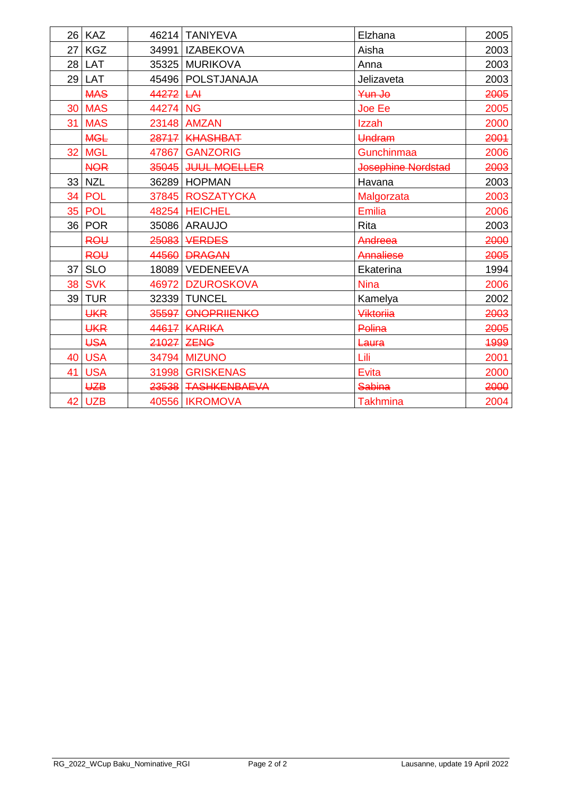|                 | 26 KAZ        |          | 46214 TANIYEVA      | Elzhana            | 2005 |
|-----------------|---------------|----------|---------------------|--------------------|------|
| 27 I            | <b>KGZ</b>    |          | 34991   IZABEKOVA   | Aisha              | 2003 |
|                 | $28$ LAT      |          | 35325 MURIKOVA      | Anna               | 2003 |
| 29              | LAT           |          | 45496   POLSTJANAJA | Jelizaveta         | 2003 |
|                 | <b>MAS</b>    | 44272    | H                   | Yun Jo             | 2005 |
|                 | <b>30 MAS</b> | 44274 NG |                     | <b>Joe Ee</b>      | 2005 |
|                 | 31 MAS        |          | 23148 AMZAN         | Izzah              | 2000 |
|                 | <b>MGL</b>    |          | 28717 KHASHBAT      | Undram             | 2001 |
| 32 <sub>1</sub> | <b>MGL</b>    | 47867    | <b>GANZORIG</b>     | Gunchinmaa         | 2006 |
|                 | <b>NOR</b>    |          | 35045 JUUL MOELLER  | Josephine Nordstad | 2003 |
|                 | $33$ NZL      |          | 36289 HOPMAN        | Havana             | 2003 |
| 34 <sub>1</sub> | <b>POL</b>    |          | 37845 ROSZATYCKA    | Malgorzata         | 2003 |
|                 | <b>35 POL</b> |          | 48254 HEICHEL       | <b>Emilia</b>      | 2006 |
|                 | 36 POR        |          | 35086 ARAUJO        | <b>Rita</b>        | 2003 |
|                 | <b>ROU</b>    |          | 25083 VERDES        | Andreea            | 2000 |
|                 | <b>ROU</b>    | 44560    | <b>DRAGAN</b>       | Annaliese          | 2005 |
|                 | $37$ SLO      |          | 18089 VEDENEEVA     | Ekaterina          | 1994 |
|                 | <b>38 SVK</b> | 46972    | <b>DZUROSKOVA</b>   | <b>Nina</b>        | 2006 |
|                 | $39$ TUR      |          | 32339 TUNCEL        | Kamelya            | 2002 |
|                 | <b>UKR</b>    | 35597    | <b>ONOPRIIENKO</b>  | <b>Viktorija</b>   | 2003 |
|                 | <b>UKR</b>    |          | <b>44617 KARIKA</b> | Polina             | 2005 |
|                 | <b>USA</b>    |          | 21027 ZENG          | Laura              | 1999 |
| 40              | <b>USA</b>    |          | 34794 MIZUNO        | Lili               | 2001 |
| 41              | <b>USA</b>    |          | 31998 GRISKENAS     | <b>Evita</b>       | 2000 |
|                 | <b>UZB</b>    |          | 23538 TASHKENBAEVA  | Sabina             | 2000 |
|                 | 42 UZB        |          | 40556   IKROMOVA    | <b>Takhmina</b>    | 2004 |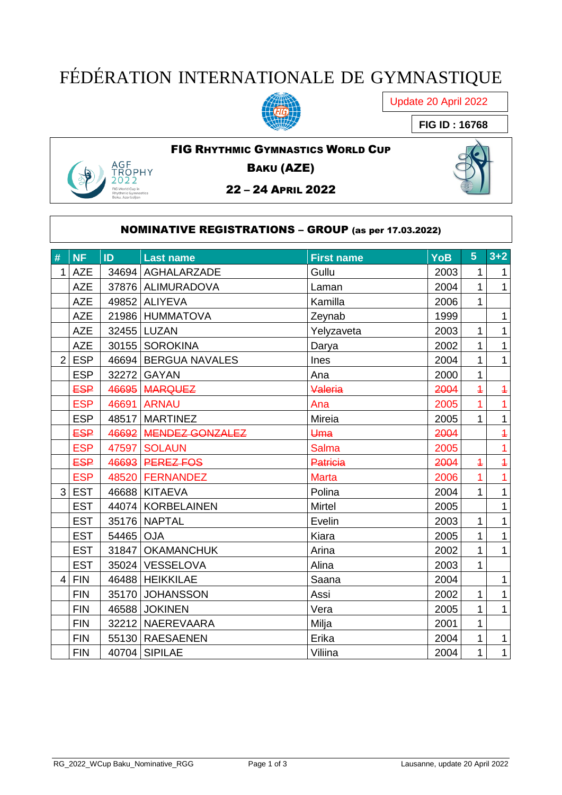## FÉDÉRATION INTERNATIONALE DE GYMNASTIQUE



Update 20 April 2022

**FIG ID : 16768**

# .GF –<br>ЭРНҮ

FIG RHYTHMIC GYMNASTICS WORLD CUP BAKU (AZE)

22 – 24 APRIL 2022

#### NOMINATIVE REGISTRATIONS – GROUP (as per 17.03.2022)

|                |            |           |                       |                   |            | 5 <sup>5</sup> | $3+2$          |
|----------------|------------|-----------|-----------------------|-------------------|------------|----------------|----------------|
| #              | <b>NF</b>  | ID        | <b>Last name</b>      | <b>First name</b> | <b>YoB</b> |                |                |
| $\mathbf{1}$   | <b>AZE</b> |           | 34694   AGHALARZADE   | Gullu             | 2003       | 1              | $\mathbf{1}$   |
|                | <b>AZE</b> |           | 37876   ALIMURADOVA   | Laman             | 2004       | $\mathbf{1}$   | $\mathbf{1}$   |
|                | <b>AZE</b> |           | 49852 ALIYEVA         | Kamilla           | 2006       | $\mathbf{1}$   |                |
|                | <b>AZE</b> |           | 21986 HUMMATOVA       | Zeynab            | 1999       |                | $\mathbf{1}$   |
|                | <b>AZE</b> |           | 32455 LUZAN           | Yelyzaveta        | 2003       | $\mathbf{1}$   | $\mathbf{1}$   |
|                | <b>AZE</b> |           | 30155   SOROKINA      | Darya             | 2002       | 1              | $\mathbf{1}$   |
| $\overline{2}$ | <b>ESP</b> |           | 46694 BERGUA NAVALES  | Ines              | 2004       | 1              | $\mathbf{1}$   |
|                | <b>ESP</b> |           | 32272 GAYAN           | Ana               | 2000       | $\mathbf{1}$   |                |
|                | <b>ESP</b> |           | 46695 MARQUEZ         | Valeria           | 2004       | $\overline{1}$ | $\overline{+}$ |
|                | <b>ESP</b> |           | 46691 ARNAU           | Ana               | 2005       | $\overline{1}$ | $\overline{1}$ |
|                | <b>ESP</b> |           | 48517 MARTINEZ        | Mireia            | 2005       | $\mathbf{1}$   | $\mathbf{1}$   |
|                | <b>ESP</b> |           | 46692 MENDEZ GONZALEZ | Uma               | 2004       |                | $\overline{+}$ |
|                | <b>ESP</b> | 47597     | <b>SOLAUN</b>         | <b>Salma</b>      | 2005       |                | $\overline{1}$ |
|                | <b>ESP</b> |           | 46693 PEREZ FOS       | <b>Patricia</b>   | 2004       | $\overline{1}$ | $\overline{1}$ |
|                | <b>ESP</b> |           | 48520 FERNANDEZ       | <b>Marta</b>      | 2006       | $\overline{1}$ | $\overline{1}$ |
| 3              | <b>EST</b> |           | 46688 KITAEVA         | Polina            | 2004       | $\mathbf{1}$   | $\mathbf{1}$   |
|                | <b>EST</b> |           | 44074 KORBELAINEN     | <b>Mirtel</b>     | 2005       |                | $\mathbf{1}$   |
|                | <b>EST</b> |           | 35176 NAPTAL          | Evelin            | 2003       | $\mathbf{1}$   | $\mathbf{1}$   |
|                | <b>EST</b> | 54465 OJA |                       | Kiara             | 2005       | $\mathbf{1}$   | $\mathbf{1}$   |
|                | <b>EST</b> |           | 31847   OKAMANCHUK    | Arina             | 2002       | $\mathbf{1}$   | $\mathbf{1}$   |
|                | <b>EST</b> |           | 35024 VESSELOVA       | Alina             | 2003       | $\mathbf{1}$   |                |
| $\overline{4}$ | <b>FIN</b> |           | 46488 HEIKKILAE       | Saana             | 2004       |                | $\mathbf{1}$   |
|                | <b>FIN</b> |           | 35170 JOHANSSON       | Assi              | 2002       | 1              | $\mathbf{1}$   |
|                | <b>FIN</b> |           | 46588 JOKINEN         | Vera              | 2005       | $\mathbf{1}$   | $\mathbf{1}$   |
|                | <b>FIN</b> |           | 32212 NAEREVAARA      | Milja             | 2001       | $\mathbf{1}$   |                |
|                | <b>FIN</b> |           | 55130 RAESAENEN       | Erika             | 2004       | $\mathbf{1}$   | $\mathbf{1}$   |
|                | <b>FIN</b> |           | 40704 SIPILAE         | Viliina           | 2004       | $\mathbf{1}$   | $\mathbf{1}$   |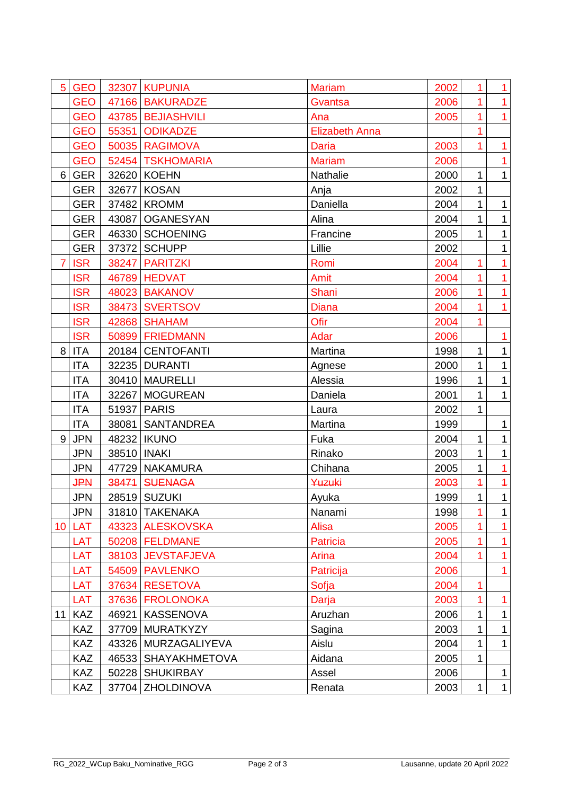| 5               | <b>GEO</b> |               | 32307 KUPUNIA         | <b>Mariam</b>         | 2002 | $\mathbf{1}$   | $\mathbf{1}$   |
|-----------------|------------|---------------|-----------------------|-----------------------|------|----------------|----------------|
|                 | <b>GEO</b> |               | 47166 BAKURADZE       | Gvantsa               | 2006 |                | $\overline{1}$ |
|                 | <b>GEO</b> |               | 43785 BEJIASHVILI     | Ana                   | 2005 | 1              | $\mathbf{1}$   |
|                 | <b>GEO</b> |               | 55351 ODIKADZE        | <b>Elizabeth Anna</b> |      |                |                |
|                 | <b>GEO</b> |               | 50035 RAGIMOVA        | <b>Daria</b>          | 2003 | 1              | $\overline{1}$ |
|                 | <b>GEO</b> |               | 52454 TSKHOMARIA      | <b>Mariam</b>         | 2006 |                | $\mathbf{1}$   |
| 6               | <b>GER</b> |               | 32620 KOEHN           | Nathalie              | 2000 | 1              | $\mathbf{1}$   |
|                 | <b>GER</b> | 32677         | <b>KOSAN</b>          | Anja                  | 2002 | $\mathbf{1}$   |                |
|                 | <b>GER</b> |               | 37482 KROMM           | Daniella              | 2004 | 1              | 1              |
|                 | <b>GER</b> |               | 43087   OGANESYAN     | Alina                 | 2004 | 1              | $\mathbf{1}$   |
|                 | <b>GER</b> |               | 46330 SCHOENING       | Francine              | 2005 | 1              | $\mathbf{1}$   |
|                 | <b>GER</b> |               | 37372 SCHUPP          | Lillie                | 2002 |                | $\mathbf{1}$   |
| $\overline{7}$  | <b>ISR</b> |               | 38247 PARITZKI        | Romi                  | 2004 | 1              | $\mathbf{1}$   |
|                 | <b>ISR</b> |               | 46789 HEDVAT          | Amit                  | 2004 | 1              | $\overline{1}$ |
|                 | <b>ISR</b> |               | 48023 BAKANOV         | Shani                 | 2006 | 1              | $\mathbf{1}$   |
|                 | <b>ISR</b> |               | 38473 SVERTSOV        | <b>Diana</b>          | 2004 | 1              | $\mathbf{1}$   |
|                 | <b>ISR</b> |               | 42868 SHAHAM          | Ofir                  | 2004 | 1              |                |
|                 | <b>ISR</b> |               | 50899 FRIEDMANN       | Adar                  | 2006 |                | $\mathbf{1}$   |
| 8               | <b>ITA</b> |               | 20184 CENTOFANTI      | Martina               | 1998 | 1              | $\mathbf{1}$   |
|                 | <b>ITA</b> |               | 32235 DURANTI         | Agnese                | 2000 | $\mathbf{1}$   | $\mathbf{1}$   |
|                 | <b>ITA</b> |               | 30410   MAURELLI      | Alessia               | 1996 | 1              | 1              |
|                 | <b>ITA</b> |               | 32267   MOGUREAN      | Daniela               | 2001 | 1              | $\mathbf{1}$   |
|                 | <b>ITA</b> |               | 51937 PARIS           | Laura                 | 2002 | 1              |                |
|                 | <b>ITA</b> |               | 38081   SANTANDREA    | Martina               | 1999 |                | $\mathbf{1}$   |
| 9               | <b>JPN</b> |               | 48232   IKUNO         | Fuka                  | 2004 | $\mathbf{1}$   | $\mathbf 1$    |
|                 | <b>JPN</b> | 38510   INAKI |                       | Rinako                | 2003 | 1              | $\mathbf{1}$   |
|                 | <b>JPN</b> |               | 47729 NAKAMURA        | Chihana               | 2005 | $\mathbf{1}$   | $\mathbf{1}$   |
|                 | <b>JPN</b> | 38471         | <b>SUENAGA</b>        | Yuzuki                | 2003 | $\overline{1}$ | $\overline{1}$ |
|                 | <b>JPN</b> |               | 28519 SUZUKI          | Ayuka                 | 1999 | $\mathbf{1}$   | $\mathbf{1}$   |
|                 | <b>JPN</b> |               | 31810 TAKENAKA        | Nanami                | 1998 | 1              | 1              |
| 10 <sup>°</sup> | <b>LAT</b> |               | 43323 ALESKOVSKA      | Alisa                 | 2005 |                | 1              |
|                 | LAT        |               | 50208 FELDMANE        | <b>Patricia</b>       | 2005 | 1              | $\mathbf{1}$   |
|                 | LAT        |               | 38103 JEVSTAFJEVA     | Arina                 | 2004 |                | 1              |
|                 | LAT        |               | 54509 PAVLENKO        | Patricija             | 2006 |                | $\overline{1}$ |
|                 | LAT        |               | 37634 RESETOVA        | Sofja                 | 2004 | 1              |                |
|                 | <b>LAT</b> |               | 37636 FROLONOKA       | Darja                 | 2003 |                | 1              |
| 11              | <b>KAZ</b> |               | 46921   KASSENOVA     | Aruzhan               | 2006 | 1              | $\mathbf{1}$   |
|                 | <b>KAZ</b> |               | 37709 MURATKYZY       | Sagina                | 2003 | 1              | 1              |
|                 | <b>KAZ</b> |               | 43326   MURZAGALIYEVA | Aislu                 | 2004 | 1              | $\mathbf{1}$   |
|                 | <b>KAZ</b> |               | 46533   SHAYAKHMETOVA | Aidana                | 2005 | 1              |                |
|                 | <b>KAZ</b> |               | 50228   SHUKIRBAY     | Assel                 | 2006 |                | $\mathbf 1$    |
|                 | <b>KAZ</b> |               | 37704 ZHOLDINOVA      | Renata                | 2003 | $\mathbf{1}$   | $\mathbf{1}$   |